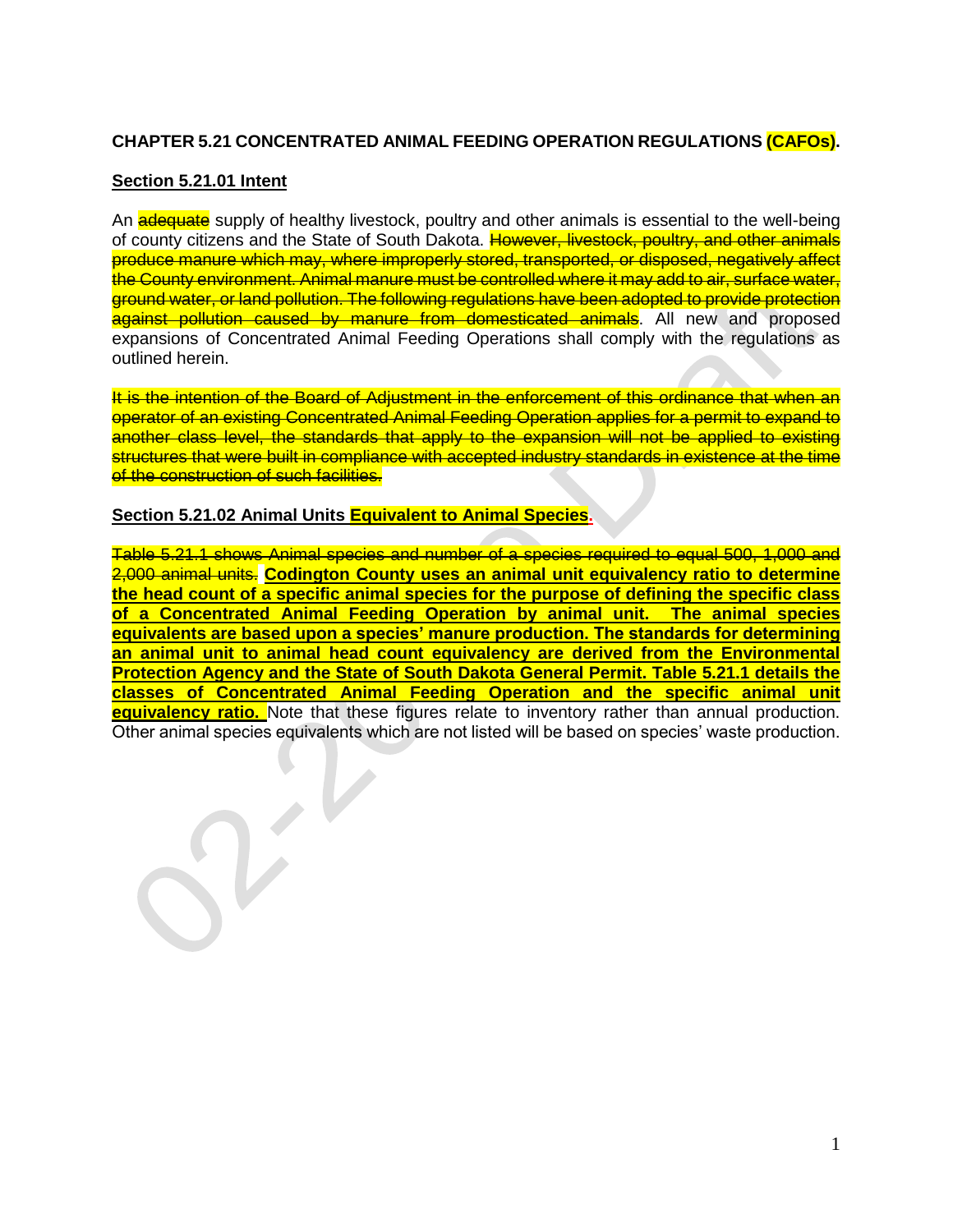## **CHAPTER 5.21 CONCENTRATED ANIMAL FEEDING OPERATION REGULATIONS (CAFOs).**

#### **Section 5.21.01 Intent**

An a **dequate** supply of healthy livestock, poultry and other animals is essential to the well-being of county citizens and the State of South Dakota. However, livestock, poultry, and other animals produce manure which may, where improperly stored, transported, or disposed, negatively affect the County environment. Animal manure must be controlled where it may add to air, surface water, ground water, or land pollution. The following regulations have been adopted to provide protection against pollution caused by manure from domesticated animals. All new and proposed expansions of Concentrated Animal Feeding Operations shall comply with the regulations as outlined herein.

It is the intention of the Board of Adjustment in the enforcement of this ordinance that when an operator of an existing Concentrated Animal Feeding Operation applies for a permit to expand to another class level, the standards that apply to the expansion will not be applied to existing structures that were built in compliance with accepted industry standards in existence at the time of the construction of such facilities.

#### **Section 5.21.02 Animal Units Equivalent to Animal Species.**

Table 5.21.1 shows Animal species and number of a species required to equal 500, 1,000 and 2,000 animal units. **Codington County uses an animal unit equivalency ratio to determine the head count of a specific animal species for the purpose of defining the specific class of a Concentrated Animal Feeding Operation by animal unit. The animal species equivalents are based upon a species' manure production. The standards for determining an animal unit to animal head count equivalency are derived from the Environmental Protection Agency and the State of South Dakota General Permit. Table 5.21.1 details the classes of Concentrated Animal Feeding Operation and the specific animal unit equivalency ratio.** Note that these figures relate to inventory rather than annual production. Other animal species equivalents which are not listed will be based on species' waste production.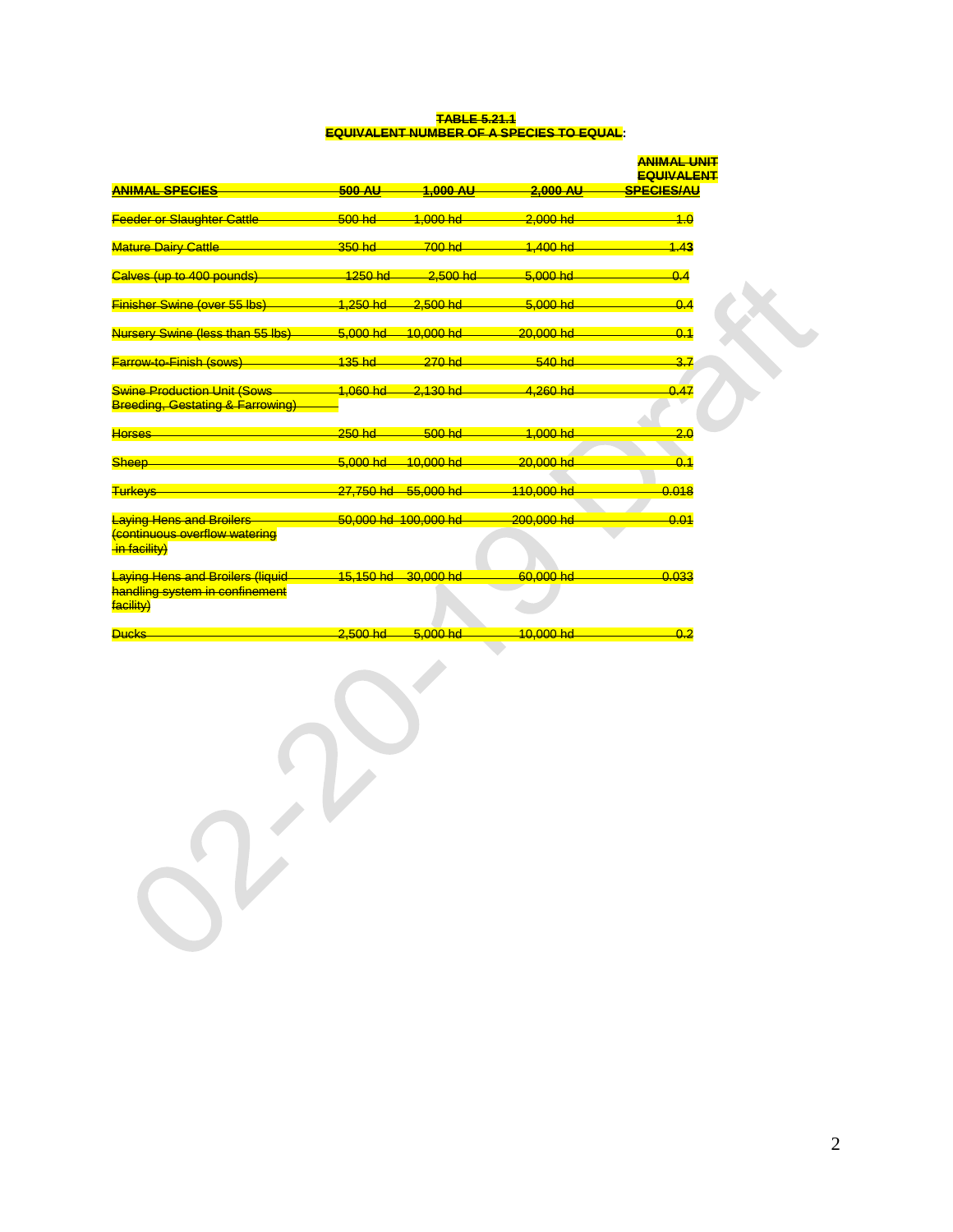#### **TABLE 5.21.1 EQUIVALENT NUMBER OF A SPECIES TO EQUAL:**

|                                                                                        |               |                      |             | <b>ANIMAL UNIT</b><br><b>EQUIVALENT</b> |
|----------------------------------------------------------------------------------------|---------------|----------------------|-------------|-----------------------------------------|
| <b>ANIMAL SPECIES</b>                                                                  | <b>500 AU</b> | 1,000 AU             | $2,000$ AU  | <b>SPECIES/AU</b>                       |
| <b>Feeder or Slaughter Cattle</b>                                                      | $500$ hd      | 1.000 hd             | $2,000$ hd  | 4.0                                     |
| <b>Mature Dairy Cattle</b>                                                             | $350$ hd      | $700$ hd             | 1.400 hd    | 1.43                                    |
| Calves (up to 400 pounds)                                                              | $1250$ hd     | $2,500$ hd           | $5.000 h$ d | 0.4                                     |
| <b>Finisher Swine (over 55 lbs)</b>                                                    | 1,250 hd      | $2,500$ hd           | 5,000 hd    | 0.4                                     |
| <b>Nursery Swine (less than 55 lbs)</b>                                                | $5,000$ hd    | 10.000 hd            | 20.000 hd   | 0.1                                     |
| <b>Farrow-to-Finish (sows)</b>                                                         | 135 hd        | $270$ hd             | 540 hd      | 3.7                                     |
| <b>Swine Production Unit (Sows</b><br><b>Breeding, Gestating &amp; Farrowing)</b>      | 1,060 hd      | 2,130 hd             | 4,260 hd    | 0.47                                    |
| <b>Horses</b>                                                                          | $250$ hd      | $500$ hd             | 1.000 hd    | 2.0                                     |
| <b>Sheep</b>                                                                           | $5.000 h$ d   | 10.000 hd            | 20.000 hd   | 0.1                                     |
| <b>Turkeys</b>                                                                         | 27,750 hd     | 55.000 hd            | 110,000 hd  | 0.018                                   |
| <b>Laying Hens and Broilers</b><br>continuous overflow watering<br>in facility)        |               | 50,000 hd 100,000 hd | 200,000 hd  | 0.01                                    |
| <b>Laying Hens and Broilers (liquid</b><br>handling system in confinement<br>facility) |               | 15,150 hd 30,000 hd  | 60,000 hd   | 0.033                                   |
| <b>Ducks</b>                                                                           | $2.500$ hd    | $5.000 h$ d          | $10,000$ hd | 0.2                                     |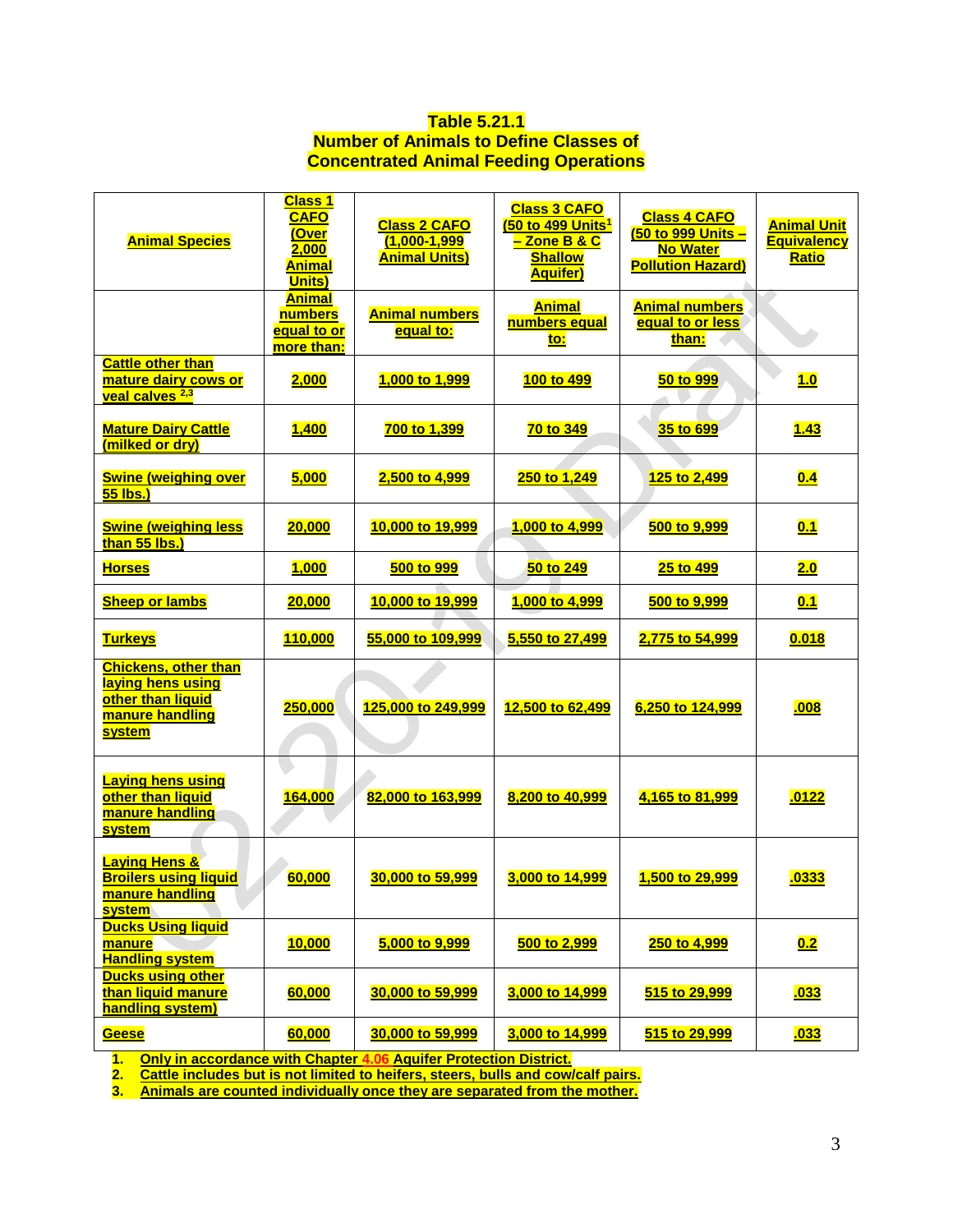## **Table 5.21.1 Number of Animals to Define Classes of Concentrated Animal Feeding Operations**

| <b>Animal Species</b>                                                                                     | <b>Class 1</b><br><b>CAFO</b><br>(Over<br>2,000<br><b>Animal</b><br>Units) | <b>Class 2 CAFO</b><br>$(1,000 - 1,999)$<br><b>Animal Units)</b> | <b>Class 3 CAFO</b><br>(50 to 499 Units <sup>1</sup><br><mark>– Zone B &amp; C</mark><br><b>Shallow</b><br><b>Aquifer)</b> | <b>Class 4 CAFO</b><br>(50 to 999 Units -<br><b>No Water</b><br><b>Pollution Hazard)</b> | <b>Animal Unit</b><br><b>Equivalency</b><br><u>Ratio</u> |
|-----------------------------------------------------------------------------------------------------------|----------------------------------------------------------------------------|------------------------------------------------------------------|----------------------------------------------------------------------------------------------------------------------------|------------------------------------------------------------------------------------------|----------------------------------------------------------|
|                                                                                                           | <b>Animal</b><br>numbers<br><u>equal to or</u><br>more than:               | <b>Animal numbers</b><br>equal to:                               | <b>Animal</b><br>numbers equal<br>to:                                                                                      | <b>Animal numbers</b><br>equal to or less<br>than:                                       |                                                          |
| <b>Cattle other than</b><br>mature dairy cows or<br>veal calves <sup>2,3</sup>                            | 2,000                                                                      | 1,000 to 1,999                                                   | 100 to 499                                                                                                                 | 50 to 999                                                                                | 1.0                                                      |
| <b>Mature Dairy Cattle</b><br>(milked or dry)                                                             | <b>1,400</b>                                                               | 700 to 1,399                                                     | 70 to 349                                                                                                                  | 35 to 699                                                                                | <u>1.43</u>                                              |
| <b>Swine (weighing over</b><br>55 lbs.)                                                                   | 5,000                                                                      | 2,500 to 4,999                                                   | 250 to 1,249                                                                                                               | 125 to 2,499                                                                             | 0.4                                                      |
| <b>Swine (weighing less</b><br>than 55 lbs.)                                                              | 20,000                                                                     | 10,000 to 19,999                                                 | 1,000 to 4,999                                                                                                             | 500 to 9,999                                                                             | 0.1                                                      |
| <b>Horses</b>                                                                                             | <u>1,000</u>                                                               | 500 to 999                                                       | 50 to 249                                                                                                                  | 25 to 499                                                                                | 2.0                                                      |
| <b>Sheep or lambs</b>                                                                                     | 20,000                                                                     | 10,000 to 19,999                                                 | 1,000 to 4,999                                                                                                             | 500 to 9,999                                                                             | 0.1                                                      |
| <b>Turkeys</b>                                                                                            | 110,000                                                                    | 55,000 to 109,999                                                | 5,550 to 27,499                                                                                                            | 2,775 to 54,999                                                                          | 0.018                                                    |
| <b>Chickens, other than</b><br>laying hens using<br>other than liquid<br>manure handling<br><b>system</b> | 250,000                                                                    | 125,000 to 249,999                                               | 12,500 to 62,499                                                                                                           | 6,250 to 124,999                                                                         | .008                                                     |
| <b>Laying hens using</b><br>other than liquid<br>manure handling<br><b>system</b>                         | 164,000                                                                    | 82,000 to 163,999                                                | 8,200 to 40,999                                                                                                            | 4,165 to 81,999                                                                          | .0122                                                    |
| <b>Laying Hens &amp;</b><br><b>Broilers using liquid</b><br>manure handling<br><b>system</b>              | 60,000                                                                     | 30,000 to 59,999                                                 | 3,000 to 14,999                                                                                                            | 1,500 to 29,999                                                                          | .0333                                                    |
| <b>Ducks Using liquid</b><br>manure<br><b>Handling system</b>                                             | <b>10,000</b>                                                              | 5,000 to 9,999                                                   | 500 to 2,999                                                                                                               | 250 to 4,999                                                                             | 0.2                                                      |
| <b>Ducks using other</b><br>than liquid manure<br>handling system)                                        | 60,000                                                                     | 30,000 to 59,999                                                 | 3,000 to 14,999                                                                                                            | 515 to 29,999                                                                            | <u>.033</u>                                              |
| Geese                                                                                                     | 60,000                                                                     | 30,000 to 59,999                                                 | 3,000 to 14,999                                                                                                            | 515 to 29,999                                                                            | <u>.033</u>                                              |

**1. Only in accordance with Chapter 4.06 Aquifer Protection District.**

**2. Cattle includes but is not limited to heifers, steers, bulls and cow/calf pairs.**

**3. Animals are counted individually once they are separated from the mother.**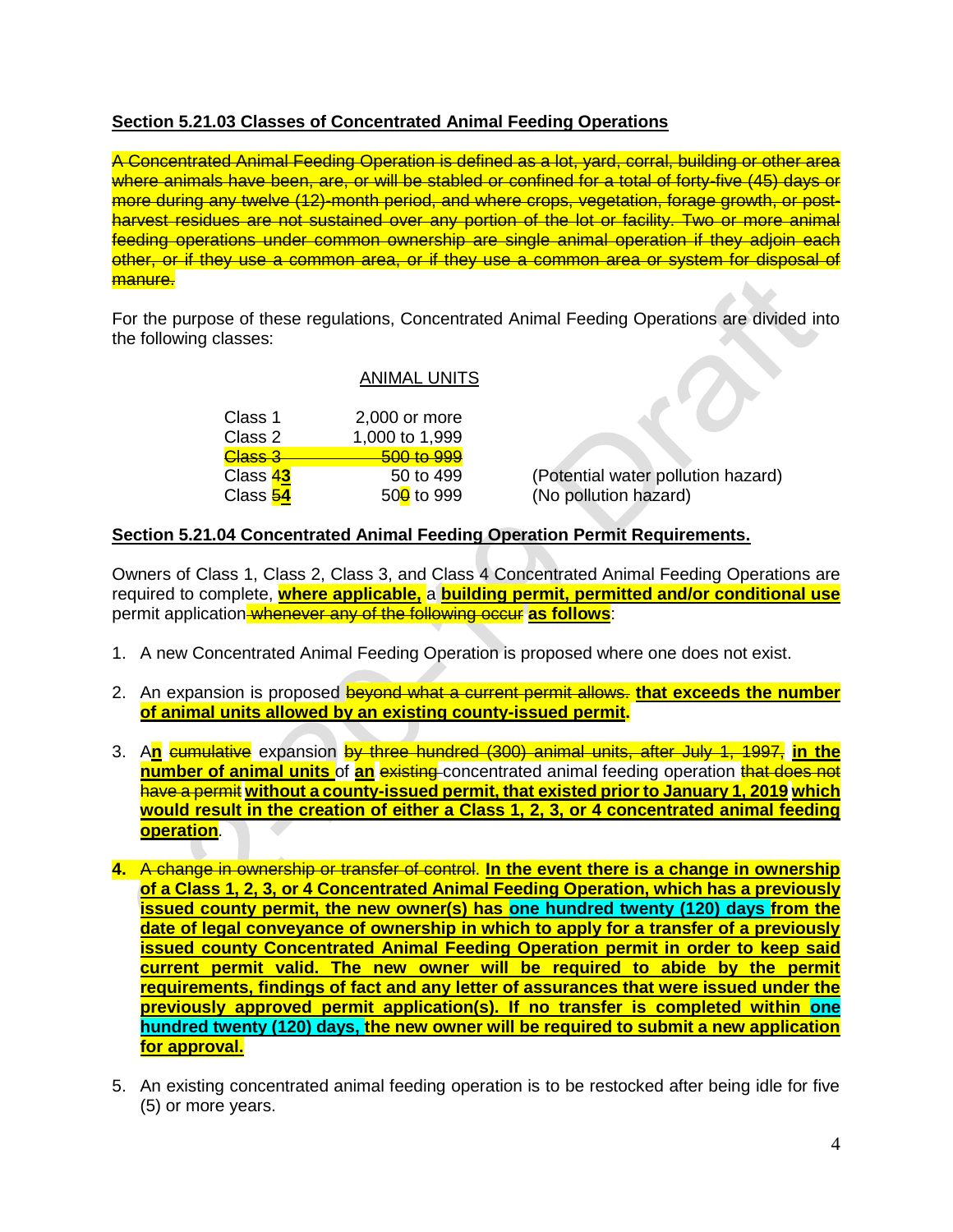# **Section 5.21.03 Classes of Concentrated Animal Feeding Operations**

A Concentrated Animal Feeding Operation is defined as a lot, yard, corral, building or other area where animals have been, are, or will be stabled or confined for a total of forty-five (45) days or more during any twelve (12)-month period, and where crops, vegetation, forage growth, or postharvest residues are not sustained over any portion of the lot or facility. Two or more animal feeding operations under common ownership are single animal operation if they adjoin each other, or if they use a common area, or if they use a common area or system for disposal of manure.

For the purpose of these regulations, Concentrated Animal Feeding Operations are divided into the following classes:

## ANIMAL UNITS

| Class 1            | 2,000 or more          |
|--------------------|------------------------|
| Class 2            | 1,000 to 1,999         |
| <del>Class 3</del> | 500 to 999             |
| Class 43           | 50 to 499              |
| Class 54           | 50 <sup>0</sup> to 999 |

(Potential water pollution hazard) (No pollution hazard)

## **Section 5.21.04 Concentrated Animal Feeding Operation Permit Requirements.**

Owners of Class 1, Class 2, Class 3, and Class 4 Concentrated Animal Feeding Operations are required to complete, **where applicable,** a **building permit, permitted and/or conditional use** permit application whenever any of the following occur **as follows**:

- 1. A new Concentrated Animal Feeding Operation is proposed where one does not exist.
- 2. An expansion is proposed beyond what a current permit allows. **that exceeds the number of animal units allowed by an existing county-issued permit.**
- 3. A**n** cumulative expansion by three hundred (300) animal units, after July 1, 1997, **in the number of animal units** of an existing concentrated animal feeding operation that does not have a permit **without a county-issued permit, that existed prior to January 1, 2019 which would result in the creation of either a Class 1, 2, 3, or 4 concentrated animal feeding operation**.
- **4.** A change in ownership or transfer of control. **In the event there is a change in ownership of a Class 1, 2, 3, or 4 Concentrated Animal Feeding Operation, which has a previously issued county permit, the new owner(s) has one hundred twenty (120) days from the date of legal conveyance of ownership in which to apply for a transfer of a previously issued county Concentrated Animal Feeding Operation permit in order to keep said current permit valid. The new owner will be required to abide by the permit requirements, findings of fact and any letter of assurances that were issued under the previously approved permit application(s). If no transfer is completed within one hundred twenty (120) days, the new owner will be required to submit a new application for approval.**
- 5. An existing concentrated animal feeding operation is to be restocked after being idle for five (5) or more years.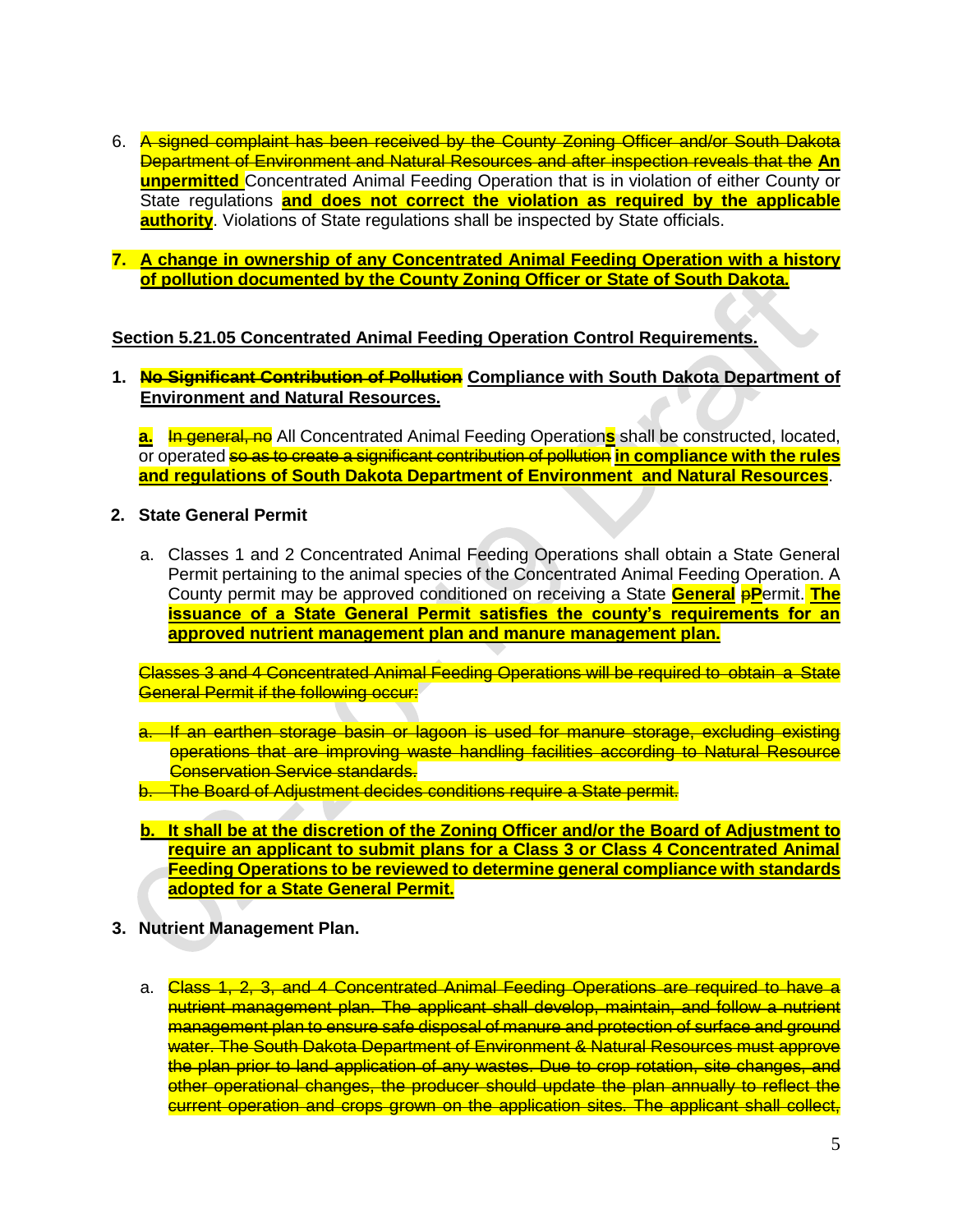- 6. A signed complaint has been received by the County Zoning Officer and/or South Dakota Department of Environment and Natural Resources and after inspection reveals that the **An unpermitted** Concentrated Animal Feeding Operation that is in violation of either County or State regulations **and does not correct the violation as required by the applicable authority**. Violations of State regulations shall be inspected by State officials.
- **7. A change in ownership of any Concentrated Animal Feeding Operation with a history of pollution documented by the County Zoning Officer or State of South Dakota.**

## **Section 5.21.05 Concentrated Animal Feeding Operation Control Requirements.**

**1. No Significant Contribution of Pollution Compliance with South Dakota Department of Environment and Natural Resources.**

**a.** In general, no All Concentrated Animal Feeding Operations shall be constructed, located, or operated so as to create a significant contribution of pollution **in compliance with the rules and regulations of South Dakota Department of Environment and Natural Resources**.

- **2. State General Permit**
	- a. Classes 1 and 2 Concentrated Animal Feeding Operations shall obtain a State General Permit pertaining to the animal species of the Concentrated Animal Feeding Operation. A County permit may be approved conditioned on receiving a State **General** p**P**ermit. **The issuance of a State General Permit satisfies the county's requirements for an approved nutrient management plan and manure management plan.**

Classes 3 and 4 Concentrated Animal Feeding Operations will be required to obtain a State **General Permit if the following occur:** 

- a. If an earthen storage basin or lagoon is used for manure storage, excluding existing operations that are improving waste handling facilities according to Natural Resource **Conservation Service standards.**
- b. The Board of Adjustment decides conditions require a State permit.
- **b. It shall be at the discretion of the Zoning Officer and/or the Board of Adjustment to require an applicant to submit plans for a Class 3 or Class 4 Concentrated Animal Feeding Operations to be reviewed to determine general compliance with standards adopted for a State General Permit.**
- **3. Nutrient Management Plan.**
	- a. Class 1, 2, 3, and 4 Concentrated Animal Feeding Operations are required to have a nutrient management plan. The applicant shall develop, maintain, and follow a nutrient management plan to ensure safe disposal of manure and protection of surface and ground water. The South Dakota Department of Environment & Natural Resources must approve the plan prior to land application of any wastes. Due to crop rotation, site changes, and other operational changes, the producer should update the plan annually to reflect the current operation and crops grown on the application sites. The applicant shall collect,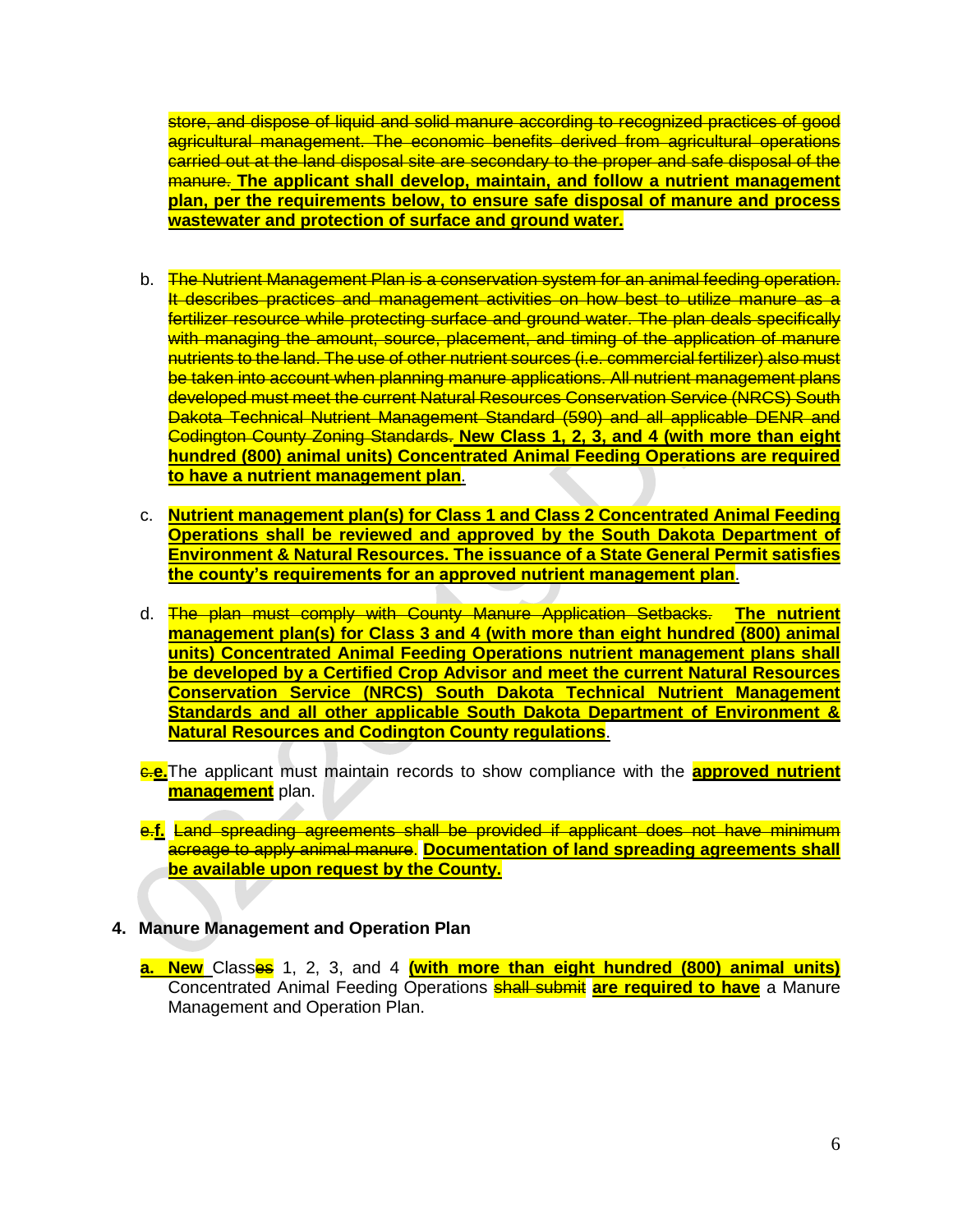store, and dispose of liquid and solid manure according to recognized practices of good agricultural management. The economic benefits derived from agricultural operations carried out at the land disposal site are secondary to the proper and safe disposal of the manure. **The applicant shall develop, maintain, and follow a nutrient management plan, per the requirements below, to ensure safe disposal of manure and process wastewater and protection of surface and ground water.**

- b. The Nutrient Management Plan is a conservation system for an animal feeding operation. It describes practices and management activities on how best to utilize manure as a fertilizer resource while protecting surface and ground water. The plan deals specifically with managing the amount, source, placement, and timing of the application of manure nutrients to the land. The use of other nutrient sources (i.e. commercial fertilizer) also must be taken into account when planning manure applications. All nutrient management plans developed must meet the current Natural Resources Conservation Service (NRCS) South Dakota Technical Nutrient Management Standard (590) and all applicable DENR and Codington County Zoning Standards. **New Class 1, 2, 3, and 4 (with more than eight hundred (800) animal units) Concentrated Animal Feeding Operations are required to have a nutrient management plan**.
- c. **Nutrient management plan(s) for Class 1 and Class 2 Concentrated Animal Feeding Operations shall be reviewed and approved by the South Dakota Department of Environment & Natural Resources. The issuance of a State General Permit satisfies the county's requirements for an approved nutrient management plan**.
- d. The plan must comply with County Manure Application Setbacks. **The nutrient management plan(s) for Class 3 and 4 (with more than eight hundred (800) animal units) Concentrated Animal Feeding Operations nutrient management plans shall be developed by a Certified Crop Advisor and meet the current Natural Resources Conservation Service (NRCS) South Dakota Technical Nutrient Management Standards and all other applicable South Dakota Department of Environment & Natural Resources and Codington County regulations**.

c.**e.**The applicant must maintain records to show compliance with the **approved nutrient management** plan.

e.**f.** Land spreading agreements shall be provided if applicant does not have minimum acreage to apply animal manure. **Documentation of land spreading agreements shall be available upon request by the County.**

## **4. Manure Management and Operation Plan**

**a. New** Classes 1, 2, 3, and 4 **(with more than eight hundred (800) animal units)**  Concentrated Animal Feeding Operations shall submit **are required to have** a Manure Management and Operation Plan.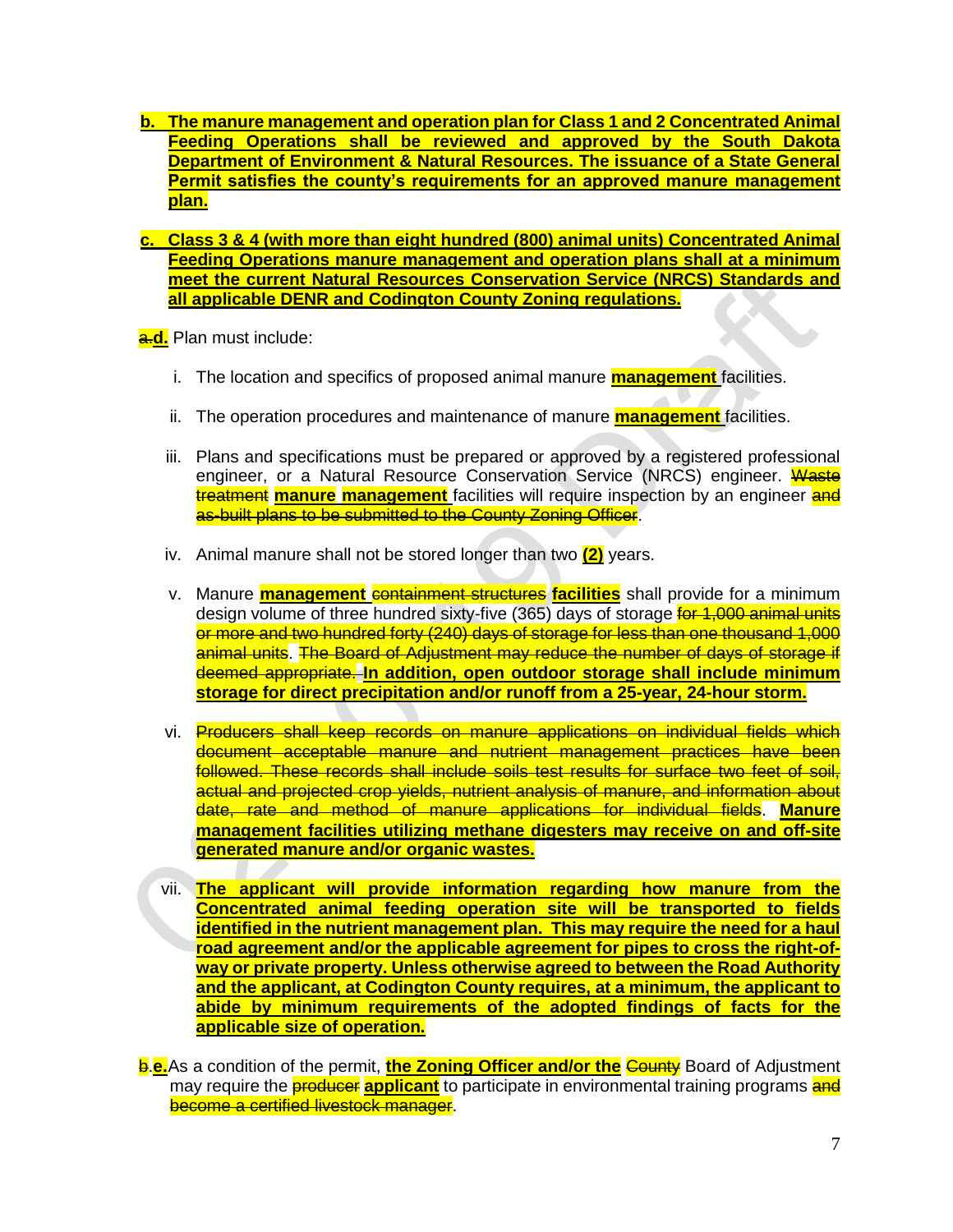- **b. The manure management and operation plan for Class 1 and 2 Concentrated Animal Feeding Operations shall be reviewed and approved by the South Dakota Department of Environment & Natural Resources. The issuance of a State General Permit satisfies the county's requirements for an approved manure management plan.**
- **c. Class 3 & 4 (with more than eight hundred (800) animal units) Concentrated Animal Feeding Operations manure management and operation plans shall at a minimum meet the current Natural Resources Conservation Service (NRCS) Standards and all applicable DENR and Codington County Zoning regulations.**

a.**d.** Plan must include:

- i. The location and specifics of proposed animal manure **management** facilities.
- ii. The operation procedures and maintenance of manure **management** facilities.
- iii. Plans and specifications must be prepared or approved by a registered professional engineer, or a Natural Resource Conservation Service (NRCS) engineer. Waste treatment **manure management** facilities will require inspection by an engineer and as-built plans to be submitted to the County Zoning Officer.
- iv. Animal manure shall not be stored longer than two **(2)** years.
- v. Manure **management** containment structures **facilities** shall provide for a minimum design volume of three hundred sixty-five (365) days of storage for 1,000 animal units or more and two hundred forty (240) days of storage for less than one thousand 1,000 animal units. The Board of Adjustment may reduce the number of days of storage if deemed appropriate. **In addition, open outdoor storage shall include minimum storage for direct precipitation and/or runoff from a 25-year, 24-hour storm.**
- vi. Producers shall keep records on manure applications on individual fields which document acceptable manure and nutrient management practices have been followed. These records shall include soils test results for surface two feet of soil, actual and projected crop yields, nutrient analysis of manure, and information about date, rate and method of manure applications for individual fields. **Manure management facilities utilizing methane digesters may receive on and off-site generated manure and/or organic wastes.**
- vii. **The applicant will provide information regarding how manure from the Concentrated animal feeding operation site will be transported to fields identified in the nutrient management plan. This may require the need for a haul road agreement and/or the applicable agreement for pipes to cross the right-ofway or private property. Unless otherwise agreed to between the Road Authority and the applicant, at Codington County requires, at a minimum, the applicant to abide by minimum requirements of the adopted findings of facts for the applicable size of operation.**

b.**e.**As a condition of the permit, **the Zoning Officer and/or the** County Board of Adjustment may require the **producer applicant** to participate in environmental training programs and become a certified livestock manager.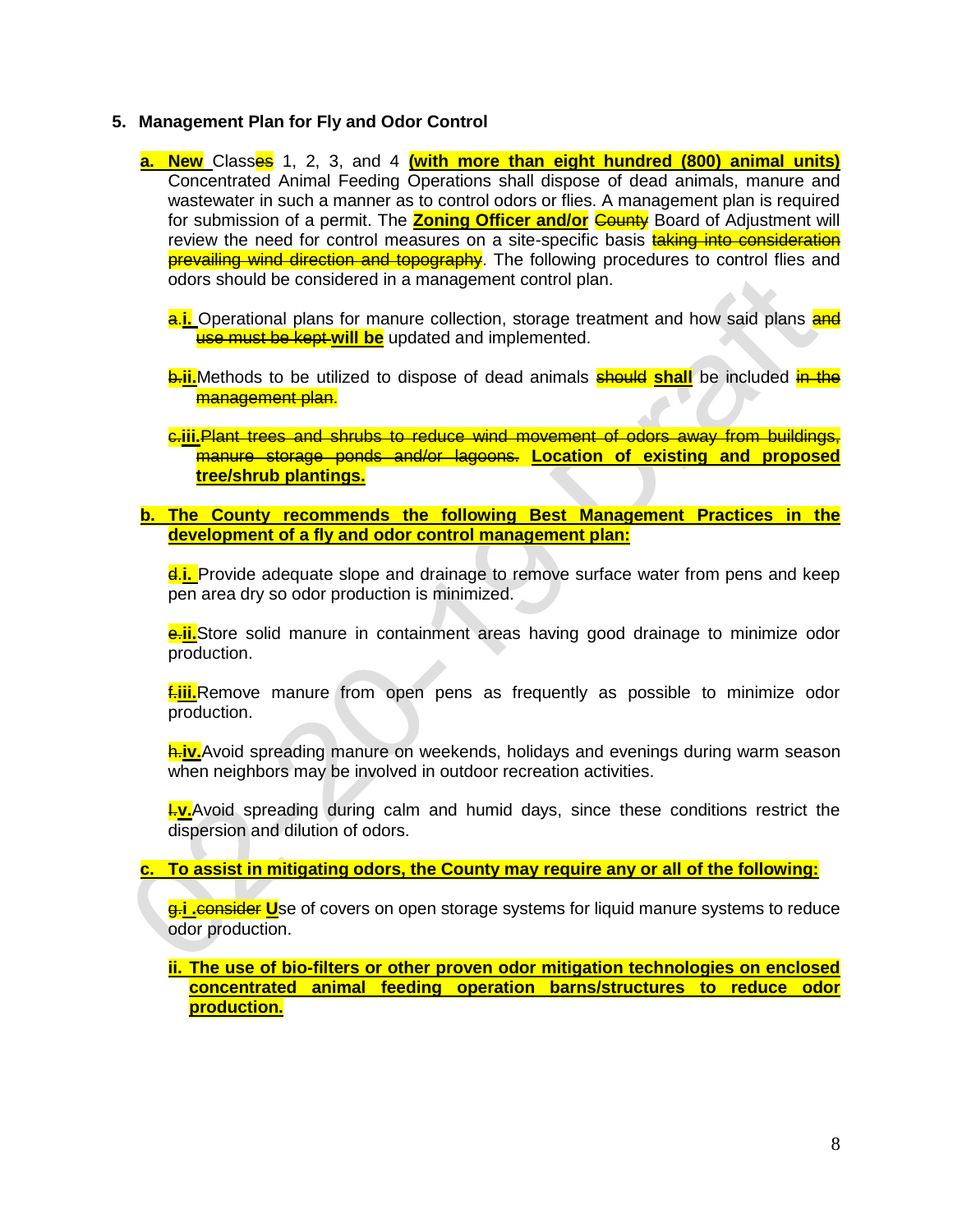#### **5. Management Plan for Fly and Odor Control**

- **a. New** Classes 1, 2, 3, and 4 **(with more than eight hundred (800) animal units)**  Concentrated Animal Feeding Operations shall dispose of dead animals, manure and wastewater in such a manner as to control odors or flies. A management plan is required for submission of a permit. The **Zoning Officer and/or County** Board of Adjustment will review the need for control measures on a site-specific basis **taking into consideration** prevailing wind direction and topography. The following procedures to control flies and odors should be considered in a management control plan.
	- **a.i.** Operational plans for manure collection, storage treatment and how said plans and use must be kept **will be** updated and implemented.
	- **b.ii.**Methods to be utilized to dispose of dead animals **should shall** be included in the management plan.
	- c.**iii.**Plant trees and shrubs to reduce wind movement of odors away from buildings, manure storage ponds and/or lagoons. **Location of existing and proposed tree/shrub plantings.**
- **b. The County recommends the following Best Management Practices in the development of a fly and odor control management plan:**

d.**i.** Provide adequate slope and drainage to remove surface water from pens and keep pen area dry so odor production is minimized.

**e.ii.**Store solid manure in containment areas having good drainage to minimize odor production.

f.**iii.**Remove manure from open pens as frequently as possible to minimize odor production.

h.**iv.**Avoid spreading manure on weekends, holidays and evenings during warm season when neighbors may be involved in outdoor recreation activities.

**I.v.**Avoid spreading during calm and humid days, since these conditions restrict the dispersion and dilution of odors.

**c. To assist in mitigating odors, the County may require any or all of the following:**

g.**i .**consider **U**se of covers on open storage systems for liquid manure systems to reduce odor production.

**ii. The use of bio-filters or other proven odor mitigation technologies on enclosed concentrated animal feeding operation barns/structures to reduce odor production.**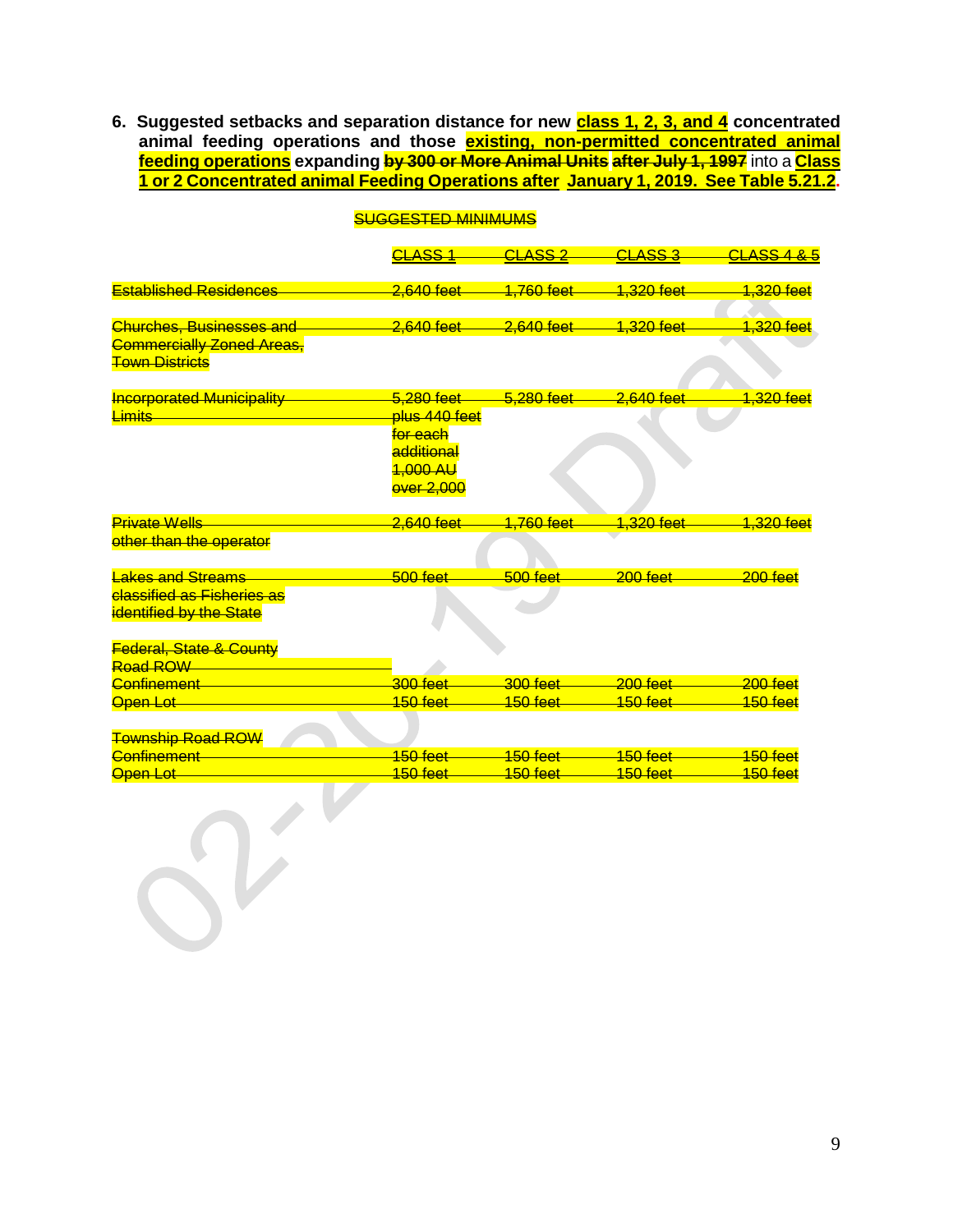**6. Suggested setbacks and separation distance for new class 1, 2, 3, and 4 concentrated animal feeding operations and those existing, non-permitted concentrated animal feeding operations expanding by 300 or More Animal Units after July 1, 1997** into a **Class 1 or 2 Concentrated animal Feeding Operations after January 1, 2019. See Table 5.21.2.**

|                                                           | <b>CLASS 1</b>        | <b>CLASS 2</b>                              | <b>CLASS 3</b>                              | <b>CLASS 4 &amp; 5</b> |
|-----------------------------------------------------------|-----------------------|---------------------------------------------|---------------------------------------------|------------------------|
|                                                           |                       |                                             |                                             |                        |
| <b>Established Residences</b>                             | <del>2.640 feet</del> | 1,760 feet                                  | 1.320 feet                                  | 1,320 feet             |
|                                                           |                       |                                             |                                             |                        |
| <b>Churches, Businesses and</b>                           | 2,640 feet            | 2,640 feet                                  | <mark>1,320 feet</mark>                     | 1,320 feet             |
| <b>Commercially Zoned Areas,</b><br><b>Town Districts</b> |                       |                                             |                                             |                        |
| <b>Incorporated Municipality</b>                          | 5.280 feet            | 5.280 feet                                  | $2.640$ feet                                | 1.320 feet             |
| Limits                                                    | plus 440 feet         |                                             |                                             |                        |
|                                                           | for each              |                                             |                                             |                        |
|                                                           | additional            |                                             |                                             |                        |
|                                                           | 1,000 AU              |                                             |                                             |                        |
|                                                           | <b>over 2,000</b>     |                                             |                                             |                        |
|                                                           |                       |                                             |                                             |                        |
| <b>Private Wells</b>                                      | 2.640 feet            | 1,760 feet                                  | 1.320 feet                                  | 1.320 feet             |
| other than the operator                                   |                       |                                             |                                             |                        |
|                                                           |                       |                                             |                                             |                        |
| <b>Lakes and Streams</b>                                  | $500$ feet            | $500$ feet                                  | $200$ feet                                  | $200$ feet             |
| <b>classified as Fisheries as</b>                         |                       |                                             |                                             |                        |
| <b>identified by the State</b>                            |                       |                                             |                                             |                        |
|                                                           |                       |                                             |                                             |                        |
| <b>Federal, State &amp; County</b>                        |                       |                                             |                                             |                        |
| Road ROW                                                  |                       |                                             |                                             |                        |
| Confinement                                               | $300$ feet            | $300$ feet                                  | $200$ feet                                  | $200$ feet             |
| Open Lot                                                  | 150 feet              | 150 feet                                    | 150 feet                                    | 150 feet               |
|                                                           |                       |                                             |                                             |                        |
| <b>Township Road ROW</b>                                  |                       |                                             |                                             |                        |
| <b>Confinement</b>                                        | $150$ feet $-$        | $\frac{150 \text{ feet}}{150 \text{ feet}}$ | $\frac{150 \text{ feet}}{150 \text{ feet}}$ | 150 feet               |
| Open Lot                                                  | 150 feet              | 150 feet                                    | 150 feet                                    | 150 feet               |
|                                                           |                       |                                             |                                             |                        |
|                                                           |                       |                                             |                                             |                        |
|                                                           |                       |                                             |                                             |                        |

## SUGGESTED MINIMUMS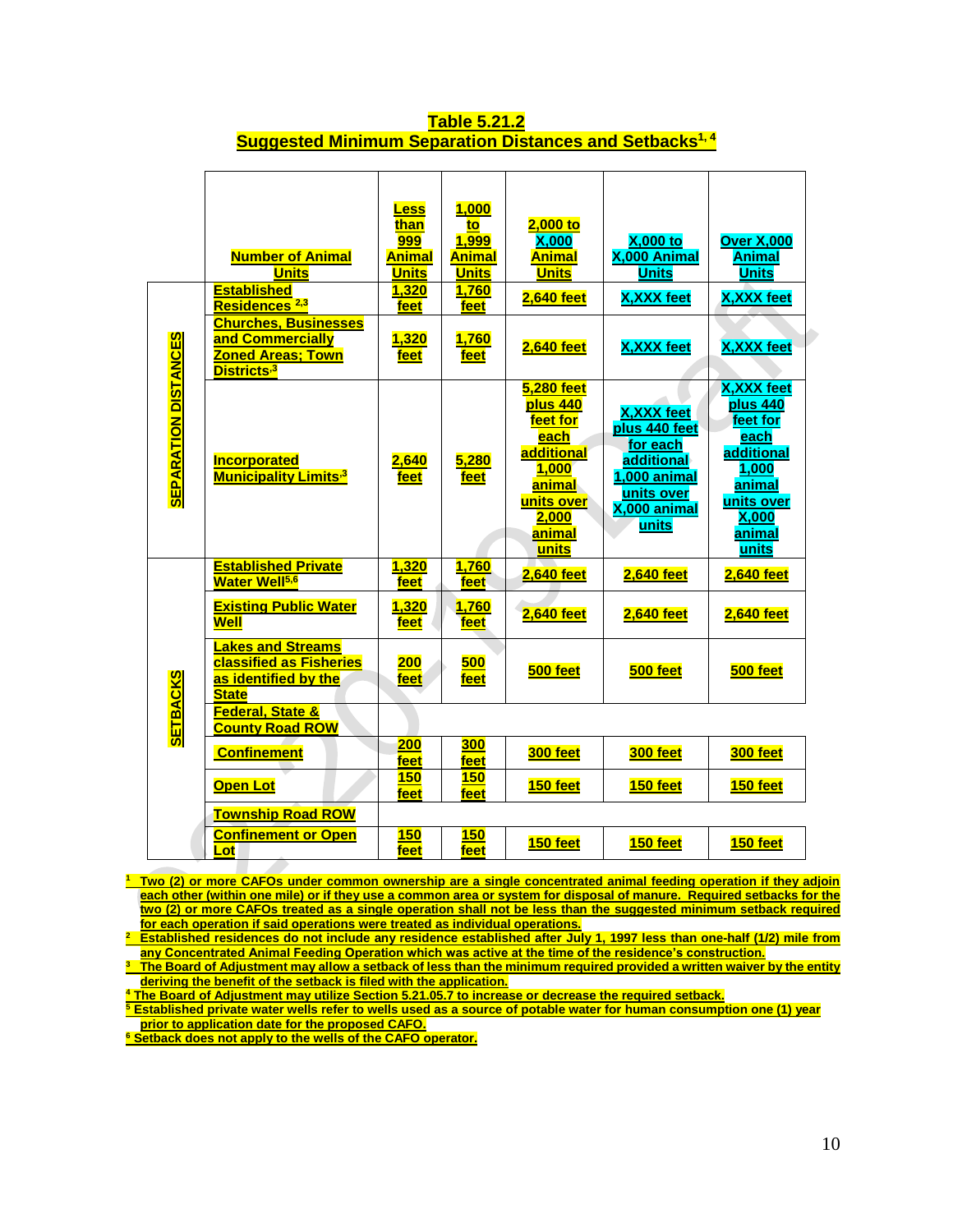|                             | <b>Number of Animal</b><br><b>Units</b><br><b>Established</b><br>Residences <sup>2,3</sup><br><b>Churches, Businesses</b> | <b>Less</b><br>than<br>999<br>Animal<br><b>Units</b><br>1,320<br>feet | 1,000<br>to<br>1,999<br><b>Animal</b><br><b>Units</b><br>1,760<br>feet | $2,000$ to<br>X.000<br>Animal<br><b>Units</b><br><b>2,640 feet</b>                                                                  | <b>X,000 to</b><br>X,000 Animal<br><b>Units</b><br><b>X, XXX feet</b>                                                | <b>Over X,000</b><br><b>Animal</b><br><b>Units</b><br><b>X, XXX feet</b>                                                      |
|-----------------------------|---------------------------------------------------------------------------------------------------------------------------|-----------------------------------------------------------------------|------------------------------------------------------------------------|-------------------------------------------------------------------------------------------------------------------------------------|----------------------------------------------------------------------------------------------------------------------|-------------------------------------------------------------------------------------------------------------------------------|
|                             | and Commercially<br><b>Zoned Areas; Town</b><br>Districts <sup>,3</sup>                                                   | 1,320<br>feet                                                         | 1,760<br>feet                                                          | <b>2,640 feet</b>                                                                                                                   | <b>X, XXX feet</b>                                                                                                   | <b>X, XXX feet</b>                                                                                                            |
| <b>SEPARATION DISTANCES</b> | Incorporated<br><b>Municipality Limits<sup>3</sup></b>                                                                    | 2,640<br>feet                                                         | 5,280<br>feet                                                          | <b>5,280 feet</b><br>plus 440<br>feet for<br>each<br>additional<br><b>1,000</b><br>animal<br>units over<br>2,000<br>animal<br>units | <b>X, XXX feet</b><br>plus 440 feet<br>for each<br>additional<br>1,000 animal<br>units over<br>X,000 animal<br>units | <b>X, XXX feet</b><br>plus 440<br>feet for<br>each<br>additional<br>1,000<br>animal<br>units over<br>X,000<br>animal<br>units |
| <b>SETBACKS</b>             | <b>Established Private</b><br><b>Water Well<sup>5,6</sup></b>                                                             | 1,320<br>feet                                                         | 1,760<br>feet.                                                         | <b>2,640 feet</b>                                                                                                                   | <b>2,640 feet</b>                                                                                                    | <b>2,640 feet</b>                                                                                                             |
|                             | <b>Existing Public Water</b><br>Well                                                                                      | 1,320<br>feet                                                         | 1,760<br>feet                                                          | <b>2,640 feet</b>                                                                                                                   | <b>2,640 feet</b>                                                                                                    | <b>2,640 feet</b>                                                                                                             |
|                             | <b>Lakes and Streams</b><br><b>classified as Fisheries</b><br>as identified by the<br><b>State</b>                        | 200<br>feet                                                           | 500<br>feet                                                            | 500 feet                                                                                                                            | 500 feet                                                                                                             | 500 feet                                                                                                                      |
|                             | <b>Federal, State &amp;</b><br><b>County Road ROW</b>                                                                     |                                                                       |                                                                        |                                                                                                                                     |                                                                                                                      |                                                                                                                               |
|                             | <b>Confinement</b>                                                                                                        | 200<br>feet                                                           | <b>300</b><br>feet                                                     | 300 feet                                                                                                                            | 300 feet                                                                                                             | 300 feet                                                                                                                      |
|                             | <b>Open Lot</b>                                                                                                           | <b>150</b><br>feet                                                    | <b>150</b><br>feet                                                     | 150 feet                                                                                                                            | 150 feet                                                                                                             | 150 feet                                                                                                                      |
|                             | <b>Township Road ROW</b>                                                                                                  |                                                                       |                                                                        |                                                                                                                                     |                                                                                                                      |                                                                                                                               |
|                             | <b>Confinement or Open</b><br>Lot                                                                                         | <b>150</b><br>feet                                                    | <b>150</b><br>feet                                                     | 150 feet                                                                                                                            | 150 feet                                                                                                             | 150 feet                                                                                                                      |

#### **Table 5.21.2 Suggested Minimum Separation Distances and Setbacks1, 4**

**<sup>1</sup> Two (2) or more CAFOs under common ownership are a single concentrated animal feeding operation if they adjoin each other (within one mile) or if they use a common area or system for disposal of manure. Required setbacks for the two (2) or more CAFOs treated as a single operation shall not be less than the suggested minimum setback required for each operation if said operations were treated as individual operations.** 

**<sup>2</sup> Established residences do not include any residence established after July 1, 1997 less than one-half (1/2) mile from any Concentrated Animal Feeding Operation which was active at the time of the residence's construction.**

**<sup>3</sup> The Board of Adjustment may allow a setback of less than the minimum required provided a written waiver by the entity deriving the benefit of the setback is filed with the application.**

**<sup>4</sup> The Board of Adjustment may utilize Section 5.21.05.7 to increase or decrease the required setback.**

**<sup>5</sup> Established private water wells refer to wells used as a source of potable water for human consumption one (1) year prior to application date for the proposed CAFO.**

**<sup>6</sup> Setback does not apply to the wells of the CAFO operator.**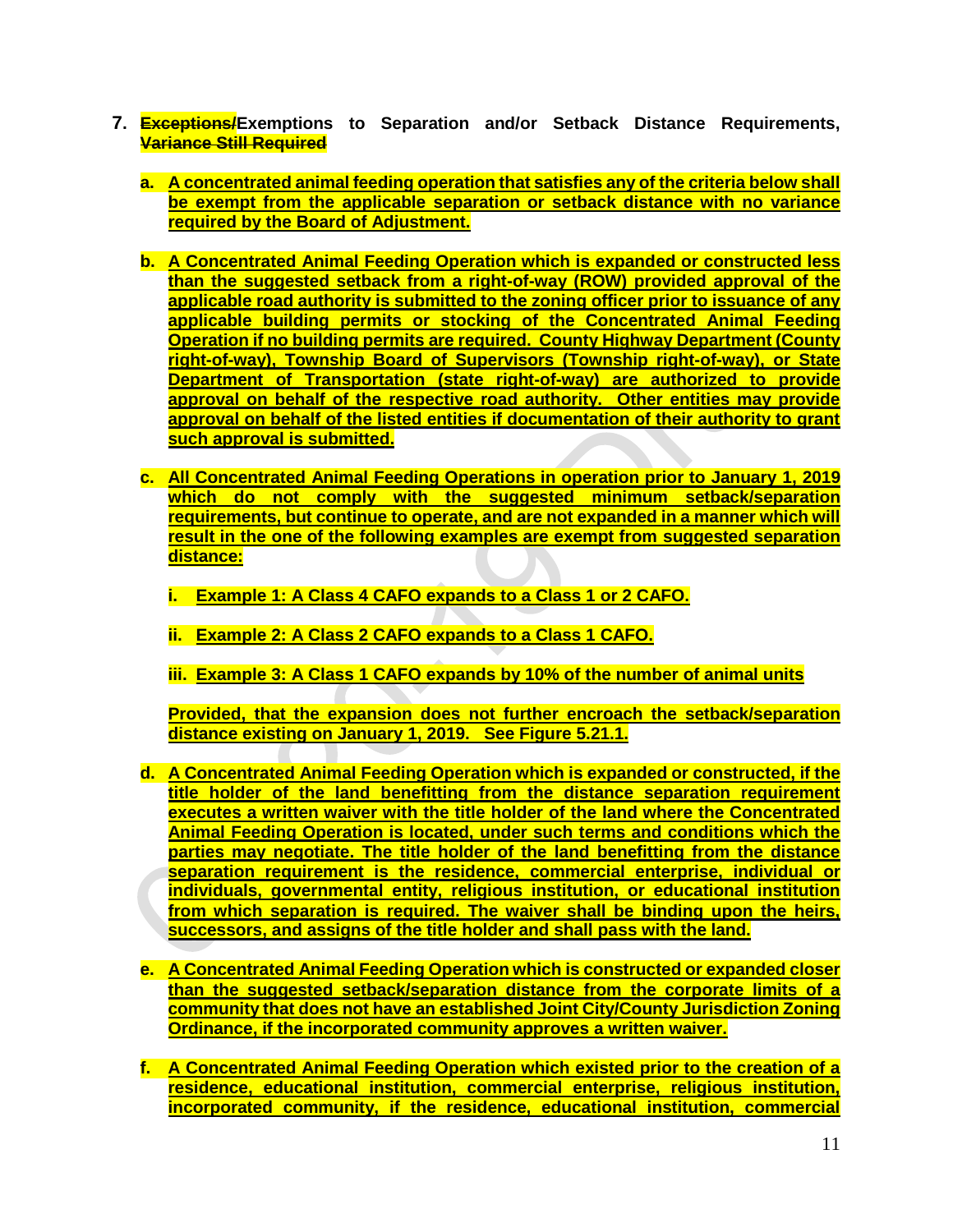- **7. Exceptions/Exemptions to Separation and/or Setback Distance Requirements, Variance Still Required**
	- **a. A concentrated animal feeding operation that satisfies any of the criteria below shall be exempt from the applicable separation or setback distance with no variance required by the Board of Adjustment.**
	- **b. A Concentrated Animal Feeding Operation which is expanded or constructed less than the suggested setback from a right-of-way (ROW) provided approval of the applicable road authority is submitted to the zoning officer prior to issuance of any applicable building permits or stocking of the Concentrated Animal Feeding Operation if no building permits are required. County Highway Department (County right-of-way), Township Board of Supervisors (Township right-of-way), or State Department of Transportation (state right-of-way) are authorized to provide approval on behalf of the respective road authority. Other entities may provide approval on behalf of the listed entities if documentation of their authority to grant such approval is submitted.**
	- **c. All Concentrated Animal Feeding Operations in operation prior to January 1, 2019 which do not comply with the suggested minimum setback/separation requirements, but continue to operate, and are not expanded in a manner which will result in the one of the following examples are exempt from suggested separation distance:**
		- **i. Example 1: A Class 4 CAFO expands to a Class 1 or 2 CAFO.**
		- **ii. Example 2: A Class 2 CAFO expands to a Class 1 CAFO.**
		- **iii. Example 3: A Class 1 CAFO expands by 10% of the number of animal units**

**Provided, that the expansion does not further encroach the setback/separation distance existing on January 1, 2019. See Figure 5.21.1.**

- **d. A Concentrated Animal Feeding Operation which is expanded or constructed, if the title holder of the land benefitting from the distance separation requirement executes a written waiver with the title holder of the land where the Concentrated Animal Feeding Operation is located, under such terms and conditions which the parties may negotiate. The title holder of the land benefitting from the distance separation requirement is the residence, commercial enterprise, individual or individuals, governmental entity, religious institution, or educational institution from which separation is required. The waiver shall be binding upon the heirs, successors, and assigns of the title holder and shall pass with the land.**
- **e. A Concentrated Animal Feeding Operation which is constructed or expanded closer than the suggested setback/separation distance from the corporate limits of a community that does not have an established Joint City/County Jurisdiction Zoning Ordinance, if the incorporated community approves a written waiver.**
- **f. A Concentrated Animal Feeding Operation which existed prior to the creation of a residence, educational institution, commercial enterprise, religious institution, incorporated community, if the residence, educational institution, commercial**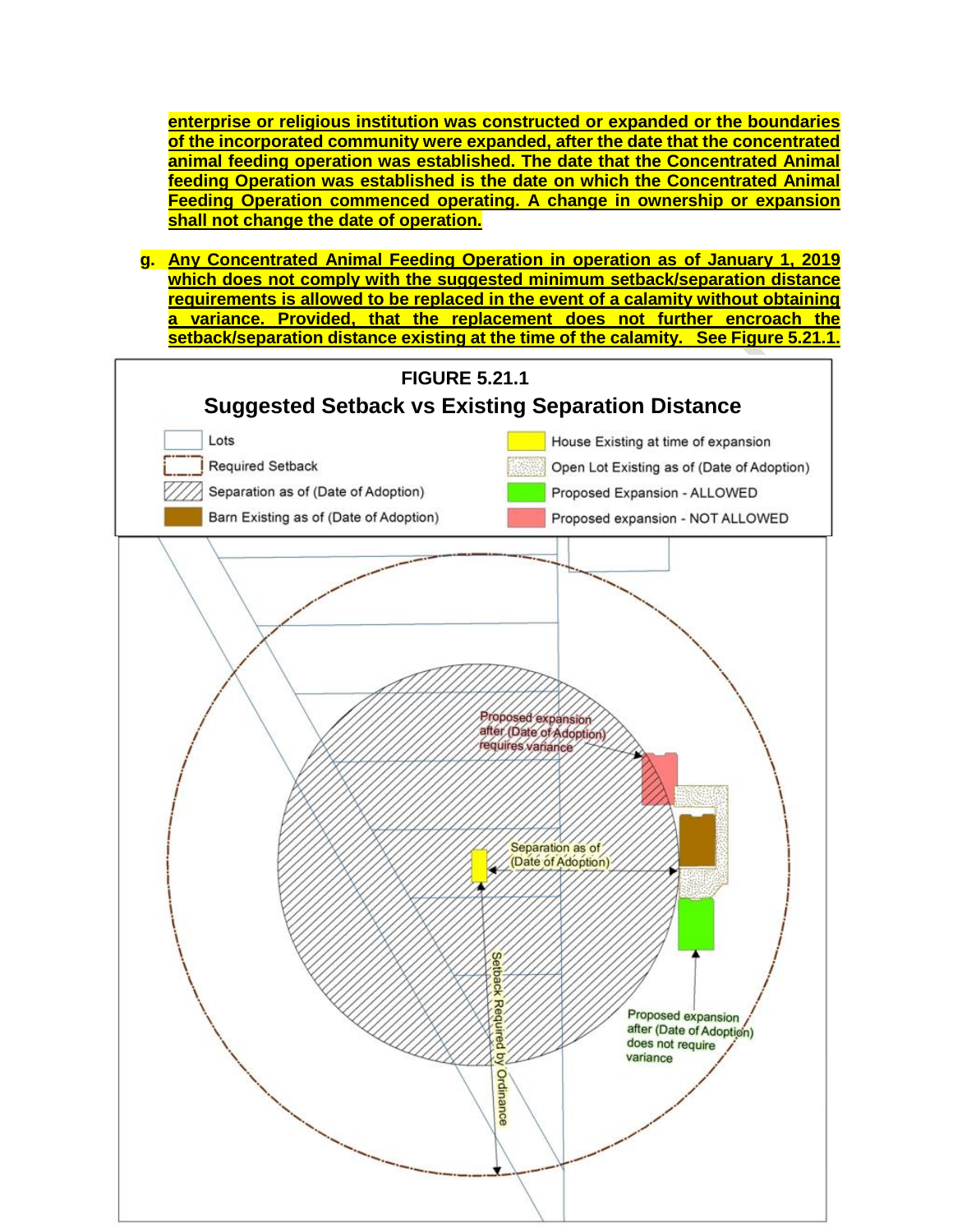**enterprise or religious institution was constructed or expanded or the boundaries of the incorporated community were expanded, after the date that the concentrated animal feeding operation was established. The date that the Concentrated Animal feeding Operation was established is the date on which the Concentrated Animal Feeding Operation commenced operating. A change in ownership or expansion shall not change the date of operation.** 

**g. Any Concentrated Animal Feeding Operation in operation as of January 1, 2019 which does not comply with the suggested minimum setback/separation distance requirements is allowed to be replaced in the event of a calamity without obtaining a variance. Provided, that the replacement does not further encroach the setback/separation distance existing at the time of the calamity. See Figure 5.21.1.**

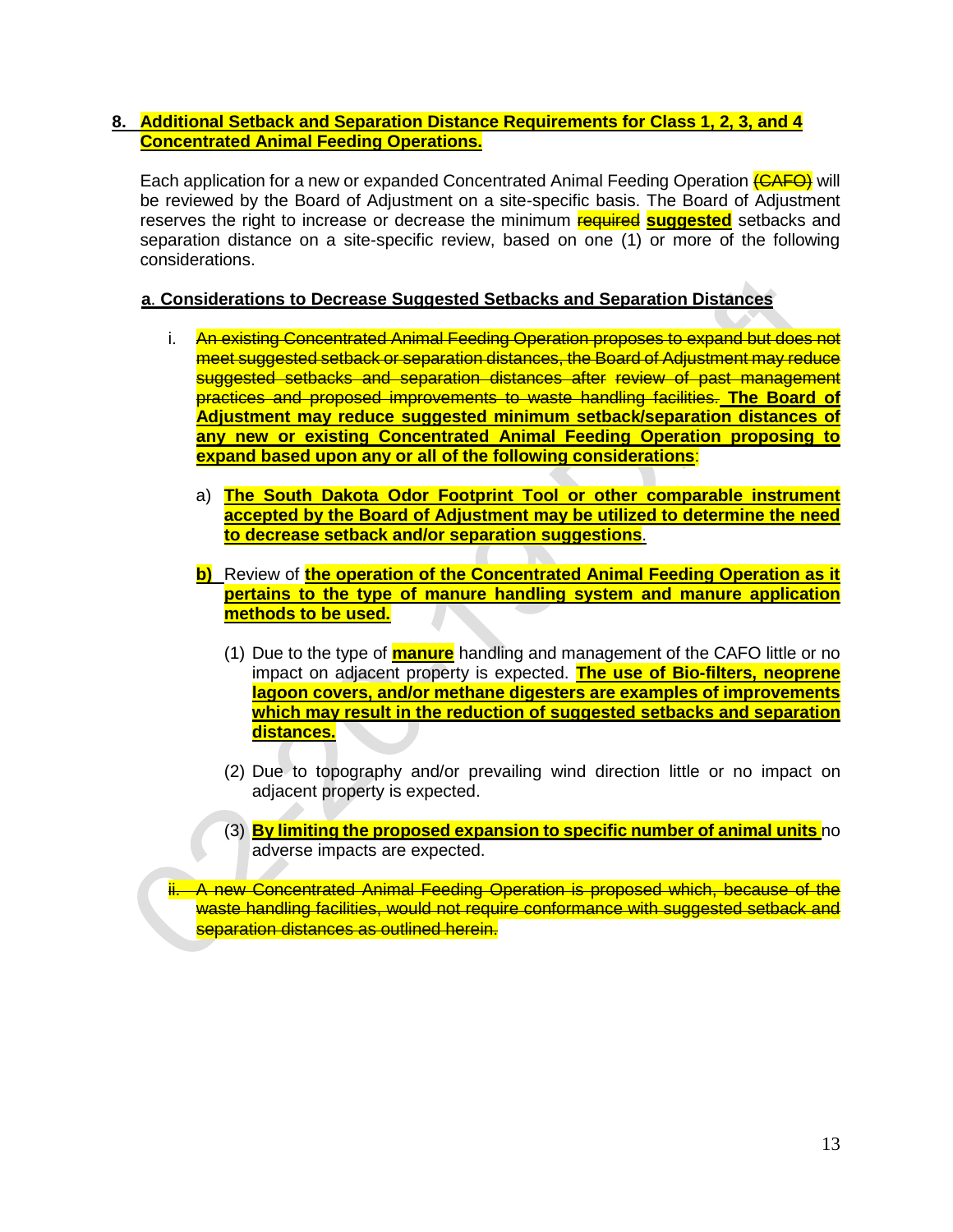## **8. Additional Setback and Separation Distance Requirements for Class 1, 2, 3, and 4 Concentrated Animal Feeding Operations.**

Each application for a new or expanded Concentrated Animal Feeding Operation (CAFO) will be reviewed by the Board of Adjustment on a site-specific basis. The Board of Adjustment reserves the right to increase or decrease the minimum required **suggested** setbacks and separation distance on a site-specific review, based on one (1) or more of the following considerations.

## **a**. **Considerations to Decrease Suggested Setbacks and Separation Distances**

- i. An existing Concentrated Animal Feeding Operation proposes to expand but does not meet suggested setback or separation distances, the Board of Adjustment may reduce suggested setbacks and separation distances after review of past management practices and proposed improvements to waste handling facilities. **The Board of Adjustment may reduce suggested minimum setback/separation distances of any new or existing Concentrated Animal Feeding Operation proposing to expand based upon any or all of the following considerations**:
	- a) **The South Dakota Odor Footprint Tool or other comparable instrument accepted by the Board of Adjustment may be utilized to determine the need to decrease setback and/or separation suggestions**.
	- **b)** Review of **the operation of the Concentrated Animal Feeding Operation as it pertains to the type of manure handling system and manure application methods to be used.**
		- (1) Due to the type of **manure** handling and management of the CAFO little or no impact on adjacent property is expected. **The use of Bio-filters, neoprene lagoon covers, and/or methane digesters are examples of improvements which may result in the reduction of suggested setbacks and separation distances.**
		- (2) Due to topography and/or prevailing wind direction little or no impact on adjacent property is expected.
		- (3) **By limiting the proposed expansion to specific number of animal units** no adverse impacts are expected.

ii. A new Concentrated Animal Feeding Operation is proposed which, because of the waste handling facilities, would not require conformance with suggested setback and separation distances as outlined herein.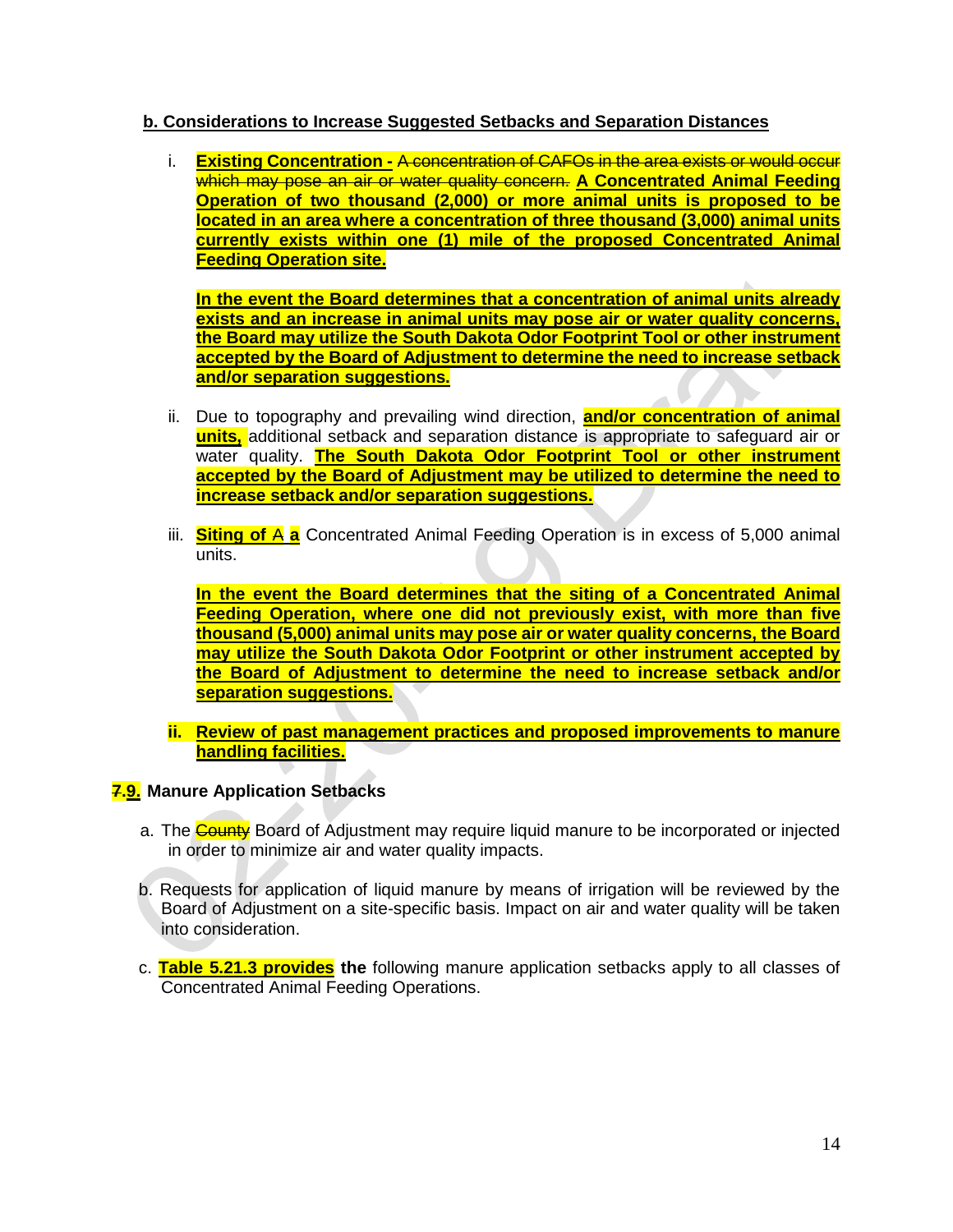## **b. Considerations to Increase Suggested Setbacks and Separation Distances**

i. **Existing Concentration -** A concentration of CAFOs in the area exists or would occur which may pose an air or water quality concern. **A Concentrated Animal Feeding Operation of two thousand (2,000) or more animal units is proposed to be located in an area where a concentration of three thousand (3,000) animal units currently exists within one (1) mile of the proposed Concentrated Animal Feeding Operation site.**

**In the event the Board determines that a concentration of animal units already exists and an increase in animal units may pose air or water quality concerns, the Board may utilize the South Dakota Odor Footprint Tool or other instrument accepted by the Board of Adjustment to determine the need to increase setback and/or separation suggestions.** 

- ii. Due to topography and prevailing wind direction, **and/or concentration of animal units,** additional setback and separation distance is appropriate to safeguard air or water quality. **The South Dakota Odor Footprint Tool or other instrument accepted by the Board of Adjustment may be utilized to determine the need to increase setback and/or separation suggestions.**
- iii. **Siting of** A **a** Concentrated Animal Feeding Operation is in excess of 5,000 animal units.

**In the event the Board determines that the siting of a Concentrated Animal Feeding Operation, where one did not previously exist, with more than five thousand (5,000) animal units may pose air or water quality concerns, the Board may utilize the South Dakota Odor Footprint or other instrument accepted by the Board of Adjustment to determine the need to increase setback and/or separation suggestions.** 

**ii. Review of past management practices and proposed improvements to manure handling facilities.**

## **7.9. Manure Application Setbacks**

- a. The County Board of Adjustment may require liquid manure to be incorporated or injected in order to minimize air and water quality impacts.
- b. Requests for application of liquid manure by means of irrigation will be reviewed by the Board of Adjustment on a site-specific basis. Impact on air and water quality will be taken into consideration.
- c. **Table 5.21.3 provides the** following manure application setbacks apply to all classes of Concentrated Animal Feeding Operations.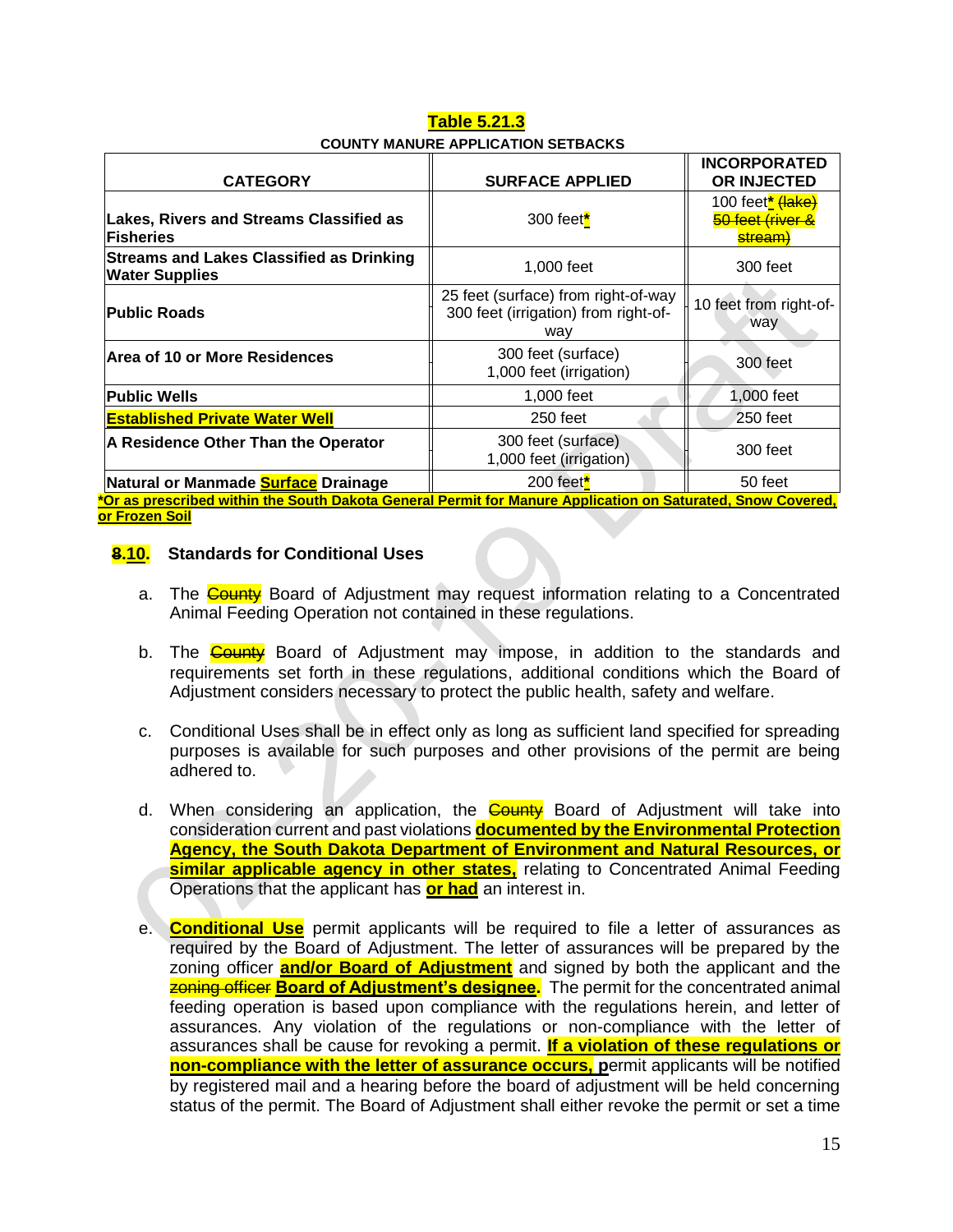| <u>Table 5.21.3</u>                       |  |  |  |  |  |
|-------------------------------------------|--|--|--|--|--|
| <b>COUNTY MANURE APPLICATION SETBACKS</b> |  |  |  |  |  |

|                                                                                                                               |                                                                                    | <b>INCORPORATED</b>                                                     |  |  |
|-------------------------------------------------------------------------------------------------------------------------------|------------------------------------------------------------------------------------|-------------------------------------------------------------------------|--|--|
| <b>CATEGORY</b>                                                                                                               | <b>SURFACE APPLIED</b>                                                             | OR INJECTED                                                             |  |  |
| <b>Lakes, Rivers and Streams Classified as</b><br>Fisheries                                                                   | 300 feet $*$                                                                       | 100 feet <sup>*</sup> (lake)<br>50 feet (river &<br>stream <sup>:</sup> |  |  |
| <b>Streams and Lakes Classified as Drinking</b><br><b>Water Supplies</b>                                                      | 1,000 feet                                                                         | 300 feet                                                                |  |  |
| <b>Public Roads</b>                                                                                                           | 25 feet (surface) from right-of-way<br>300 feet (irrigation) from right-of-<br>way | 10 feet from right-of-<br>way                                           |  |  |
| Area of 10 or More Residences                                                                                                 | 300 feet (surface)<br>1,000 feet (irrigation)                                      | 300 feet                                                                |  |  |
| <b>Public Wells</b>                                                                                                           | 1,000 feet                                                                         | 1,000 feet                                                              |  |  |
| <b>Established Private Water Well</b>                                                                                         | 250 feet                                                                           | 250 feet                                                                |  |  |
| A Residence Other Than the Operator                                                                                           | 300 feet (surface)<br>1,000 feet (irrigation)                                      | 300 feet                                                                |  |  |
| Natural or Manmade <b>Surface</b> Drainage                                                                                    | 200 feet $*$                                                                       | 50 feet                                                                 |  |  |
| <u><sup>*</sup>Or as prescribed within the South Dakota General Permit for Manure Application on Saturated, Snow Covered,</u> |                                                                                    |                                                                         |  |  |
| or Frozen Soil                                                                                                                |                                                                                    |                                                                         |  |  |

#### **8.10. Standards for Conditional Uses**

- a. The County Board of Adjustment may request information relating to a Concentrated Animal Feeding Operation not contained in these regulations.
- b. The **County** Board of Adjustment may impose, in addition to the standards and requirements set forth in these regulations, additional conditions which the Board of Adjustment considers necessary to protect the public health, safety and welfare.
- c. Conditional Uses shall be in effect only as long as sufficient land specified for spreading purposes is available for such purposes and other provisions of the permit are being adhered to.
- d. When considering an application, the **County** Board of Adjustment will take into consideration current and past violations **documented by the Environmental Protection Agency, the South Dakota Department of Environment and Natural Resources, or similar applicable agency in other states,** relating to Concentrated Animal Feeding Operations that the applicant has **or had** an interest in.
- e. **Conditional Use** permit applicants will be required to file a letter of assurances as required by the Board of Adjustment. The letter of assurances will be prepared by the zoning officer **and/or Board of Adjustment** and signed by both the applicant and the **zoning officer Board of Adjustment's designee.** The permit for the concentrated animal feeding operation is based upon compliance with the regulations herein, and letter of assurances. Any violation of the regulations or non-compliance with the letter of assurances shall be cause for revoking a permit. **If a violation of these regulations or non-compliance with the letter of assurance occurs, permit applicants will be notified** by registered mail and a hearing before the board of adjustment will be held concerning status of the permit. The Board of Adjustment shall either revoke the permit or set a time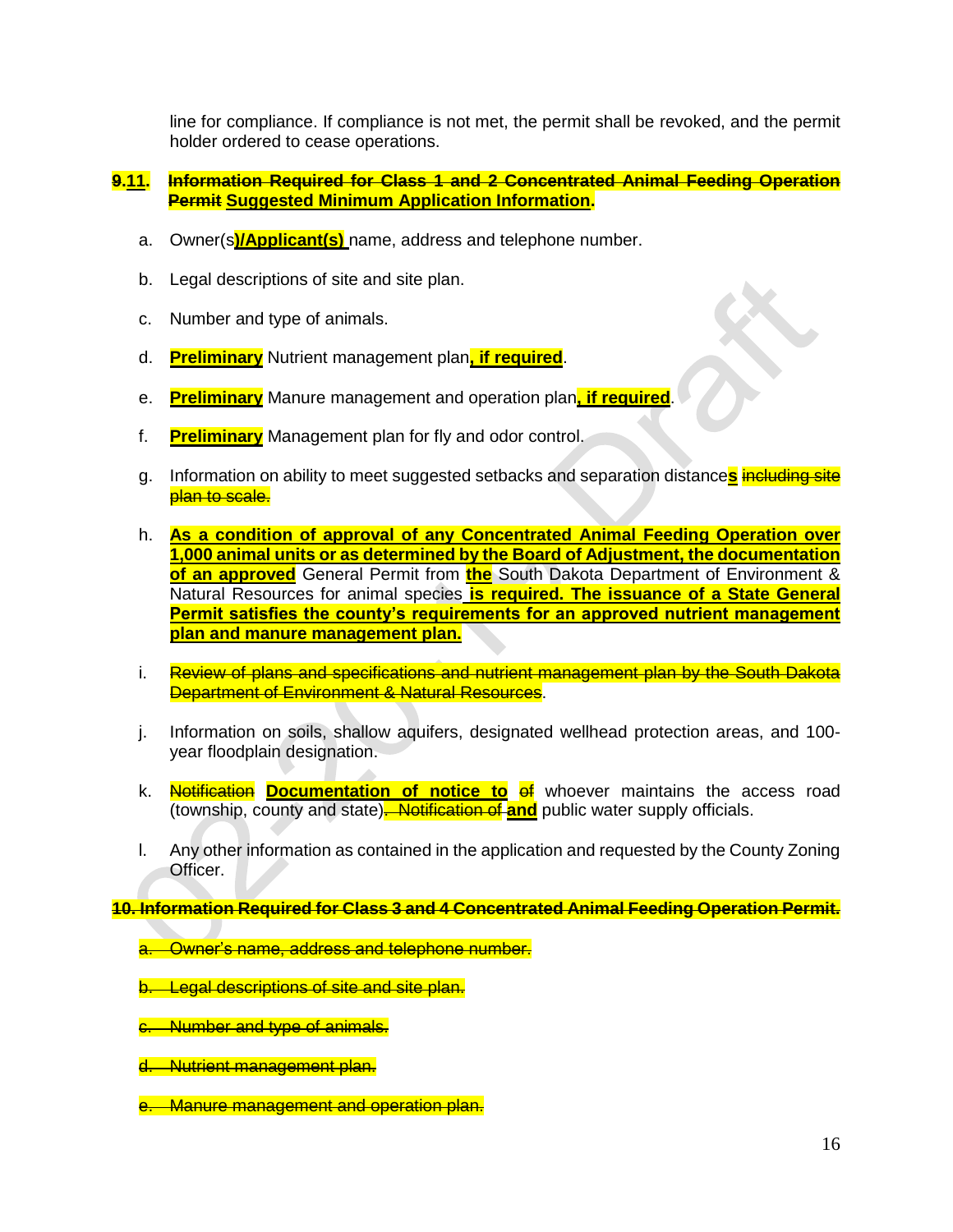line for compliance. If compliance is not met, the permit shall be revoked, and the permit holder ordered to cease operations.

#### **9.11. Information Required for Class 1 and 2 Concentrated Animal Feeding Operation Permit Suggested Minimum Application Information.**

- a. Owner(s**)/Applicant(s)** name, address and telephone number.
- b. Legal descriptions of site and site plan.
- c. Number and type of animals.
- d. **Preliminary** Nutrient management plan**, if required**.
- e. **Preliminary** Manure management and operation plan**, if required**.
- f. **Preliminary** Management plan for fly and odor control.
- g. Information on ability to meet suggested setbacks and separation distance**s** including site plan to scale.
- h. **As a condition of approval of any Concentrated Animal Feeding Operation over 1,000 animal units or as determined by the Board of Adjustment, the documentation of an approved** General Permit from **the** South Dakota Department of Environment & Natural Resources for animal species **is required. The issuance of a State General Permit satisfies the county's requirements for an approved nutrient management plan and manure management plan.**
- i. Review of plans and specifications and nutrient management plan by the South Dakota **Department of Environment & Natural Resources.**
- j. Information on soils, shallow aquifers, designated wellhead protection areas, and 100 year floodplain designation.
- k. **Notification Documentation of notice to of** whoever maintains the access road (township, county and state). Notification of **and** public water supply officials.
- l. Any other information as contained in the application and requested by the County Zoning Officer.

**10. Information Required for Class 3 and 4 Concentrated Animal Feeding Operation Permit.**

- Owner's name, address and telephone number.
- b. Legal descriptions of site and site plan.
- c. Number and type of animals.
- d. Nutrient management plan.
- e. Manure management and operation plan.